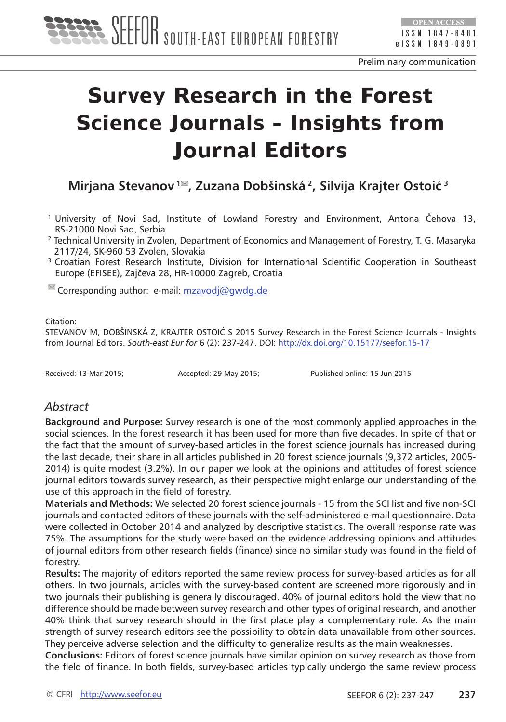

# **Survey Research in the Forest Science Journals - Insights from Journal Editors**

**Mirjana Stevanov 1 , Zuzana Dobšinská 2, Silvija Krajter Ostoić<sup>3</sup>**

- <sup>1</sup>University of Novi Sad, Institute of Lowland Forestry and Environment, Antona Čehova 13, RS-21000 Novi Sad, Serbia
- <sup>2</sup> Technical University in Zvolen, Department of Economics and Management of Forestry, T. G. Masaryka 2117/24, SK-960 53 Zvolen, Slovakia
- <sup>3</sup> Croatian Forest Research Institute, Division for International Scientific Cooperation in Southeast Europe (EFISEE), Zajčeva 28, HR-10000 Zagreb, Croatia

 $\blacksquare$  Corresponding author: e-mail: [mzavodj@gwdg.de](mailto:mzavodj@gwdg.de)

#### Citation:

STEVANOV M, DOBŠINSKÁ Z, KRAJTER OSTOIĆ S 2015 Survey Research in the Forest Science Journals - Insights from Journal Editors. *South-east Eur for* 6 (2): 237-247. DOI: <http://dx.doi.org/10.15177/seefor.15-17>

Received: 13 Mar 2015; Accepted: 29 May 2015; Published online: 15 Jun 2015

#### *Abstract*

**Background and Purpose:** Survey research is one of the most commonly applied approaches in the social sciences. In the forest research it has been used for more than five decades. In spite of that or the fact that the amount of survey-based articles in the forest science journals has increased during the last decade, their share in all articles published in 20 forest science journals (9,372 articles, 2005- 2014) is quite modest (3.2%). In our paper we look at the opinions and attitudes of forest science journal editors towards survey research, as their perspective might enlarge our understanding of the use of this approach in the field of forestry.

**Materials and Methods:** We selected 20 forest science journals - 15 from the SCI list and five non-SCI journals and contacted editors of these journals with the self-administered e-mail questionnaire. Data were collected in October 2014 and analyzed by descriptive statistics. The overall response rate was 75%. The assumptions for the study were based on the evidence addressing opinions and attitudes of journal editors from other research fields (finance) since no similar study was found in the field of forestry.

**Results:** The majority of editors reported the same review process for survey-based articles as for all others. In two journals, articles with the survey-based content are screened more rigorously and in two journals their publishing is generally discouraged. 40% of journal editors hold the view that no difference should be made between survey research and other types of original research, and another 40% think that survey research should in the first place play a complementary role. As the main strength of survey research editors see the possibility to obtain data unavailable from other sources. They perceive adverse selection and the difficulty to generalize results as the main weaknesses.

**Conclusions:** Editors of forest science journals have similar opinion on survey research as those from the field of finance. In both fields, survey-based articles typically undergo the same review process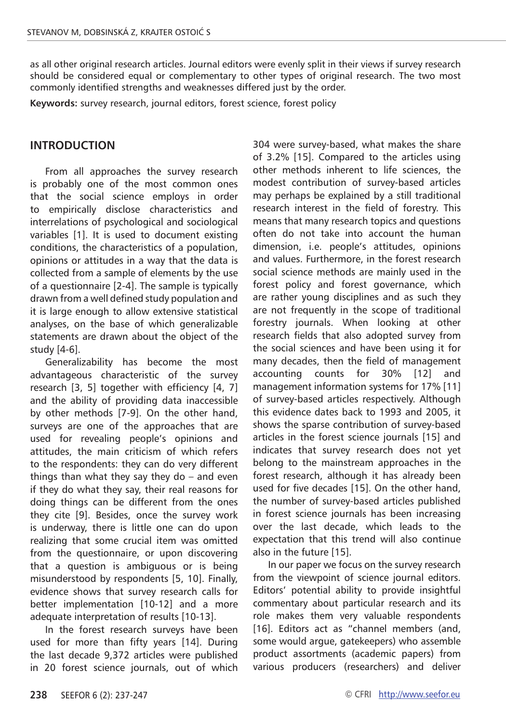as all other original research articles. Journal editors were evenly split in their views if survey research should be considered equal or complementary to other types of original research. The two most commonly identified strengths and weaknesses differed just by the order.

**Keywords:** survey research, journal editors, forest science, forest policy

#### **INTRODUCTION**

From all approaches the survey research is probably one of the most common ones that the social science employs in order to empirically disclose characteristics and interrelations of psychological and sociological variables [1]. It is used to document existing conditions, the characteristics of a population, opinions or attitudes in a way that the data is collected from a sample of elements by the use of a questionnaire [2-4]. The sample is typically drawn from a well defined study population and it is large enough to allow extensive statistical analyses, on the base of which generalizable statements are drawn about the object of the study [4-6].

Generalizability has become the most advantageous characteristic of the survey research [3, 5] together with efficiency [4, 7] and the ability of providing data inaccessible by other methods [7-9]. On the other hand, surveys are one of the approaches that are used for revealing people's opinions and attitudes, the main criticism of which refers to the respondents: they can do very different things than what they say they do – and even if they do what they say, their real reasons for doing things can be different from the ones they cite [9]. Besides, once the survey work is underway, there is little one can do upon realizing that some crucial item was omitted from the questionnaire, or upon discovering that a question is ambiguous or is being misunderstood by respondents [5, 10]. Finally, evidence shows that survey research calls for better implementation [10-12] and a more adequate interpretation of results [10-13].

In the forest research surveys have been used for more than fifty years [14]. During the last decade 9,372 articles were published in 20 forest science journals, out of which

304 were survey-based, what makes the share of 3.2% [15]. Compared to the articles using other methods inherent to life sciences, the modest contribution of survey-based articles may perhaps be explained by a still traditional research interest in the field of forestry. This means that many research topics and questions often do not take into account the human dimension, i.e. people's attitudes, opinions and values. Furthermore, in the forest research social science methods are mainly used in the forest policy and forest governance, which are rather young disciplines and as such they are not frequently in the scope of traditional forestry journals. When looking at other research fields that also adopted survey from the social sciences and have been using it for many decades, then the field of management accounting counts for 30% [12] and management information systems for 17% [11] of survey-based articles respectively. Although this evidence dates back to 1993 and 2005, it shows the sparse contribution of survey-based articles in the forest science journals [15] and indicates that survey research does not yet belong to the mainstream approaches in the forest research, although it has already been used for five decades [15]. On the other hand, the number of survey-based articles published in forest science journals has been increasing over the last decade, which leads to the expectation that this trend will also continue also in the future [15].

In our paper we focus on the survey research from the viewpoint of science journal editors. Editors' potential ability to provide insightful commentary about particular research and its role makes them very valuable respondents [16]. Editors act as "channel members (and, some would argue, gatekeepers) who assemble product assortments (academic papers) from various producers (researchers) and deliver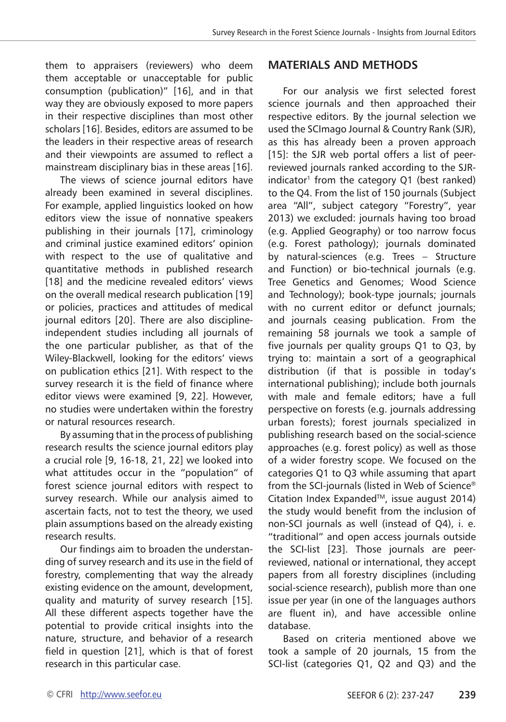them to appraisers (reviewers) who deem them acceptable or unacceptable for public consumption (publication)" [16], and in that way they are obviously exposed to more papers in their respective disciplines than most other scholars [16]. Besides, editors are assumed to be the leaders in their respective areas of research and their viewpoints are assumed to reflect a mainstream disciplinary bias in these areas [16].

The views of science journal editors have already been examined in several disciplines. For example, applied linguistics looked on how editors view the issue of nonnative speakers publishing in their journals [17], criminology and criminal justice examined editors' opinion with respect to the use of qualitative and quantitative methods in published research [18] and the medicine revealed editors' views on the overall medical research publication [19] or policies, practices and attitudes of medical journal editors [20]. There are also disciplineindependent studies including all journals of the one particular publisher, as that of the Wiley-Blackwell, looking for the editors' views on publication ethics [21]. With respect to the survey research it is the field of finance where editor views were examined [9, 22]. However, no studies were undertaken within the forestry or natural resources research.

By assuming that in the process of publishing research results the science journal editors play a crucial role [9, 16-18, 21, 22] we looked into what attitudes occur in the "population" of forest science journal editors with respect to survey research. While our analysis aimed to ascertain facts, not to test the theory, we used plain assumptions based on the already existing research results.

Our findings aim to broaden the understanding of survey research and its use in the field of forestry, complementing that way the already existing evidence on the amount, development, quality and maturity of survey research [15]. All these different aspects together have the potential to provide critical insights into the nature, structure, and behavior of a research field in question [21], which is that of forest research in this particular case.

### **MATERIALS AND METHODS**

For our analysis we first selected forest science journals and then approached their respective editors. By the journal selection we used the SCImago Journal & Country Rank (SJR), as this has already been a proven approach [15]: the SJR web portal offers a list of peerreviewed journals ranked according to the SJRindicator<sup>1</sup> from the category  $Q1$  (best ranked) to the Q4. From the list of 150 journals (Subject area "All", subject category "Forestry", year 2013) we excluded: journals having too broad (e.g. Applied Geography) or too narrow focus (e.g. Forest pathology); journals dominated by natural-sciences (e.g. Trees – Structure and Function) or bio-technical journals (e.g. Tree Genetics and Genomes; Wood Science and Technology); book-type journals; journals with no current editor or defunct journals; and journals ceasing publication. From the remaining 58 journals we took a sample of five journals per quality groups Q1 to Q3, by trying to: maintain a sort of a geographical distribution (if that is possible in today's international publishing); include both journals with male and female editors; have a full perspective on forests (e.g. journals addressing urban forests); forest journals specialized in publishing research based on the social-science approaches (e.g. forest policy) as well as those of a wider forestry scope. We focused on the categories Q1 to Q3 while assuming that apart from the SCI-journals (listed in Web of Science® Citation Index ExpandedTM, issue august 2014) the study would benefit from the inclusion of non-SCI journals as well (instead of Q4), i. e. "traditional" and open access journals outside the SCI-list [23]. Those journals are peerreviewed, national or international, they accept papers from all forestry disciplines (including social-science research), publish more than one issue per year (in one of the languages authors are fluent in), and have accessible online database.

Based on criteria mentioned above we took a sample of 20 journals, 15 from the SCI-list (categories Q1, Q2 and Q3) and the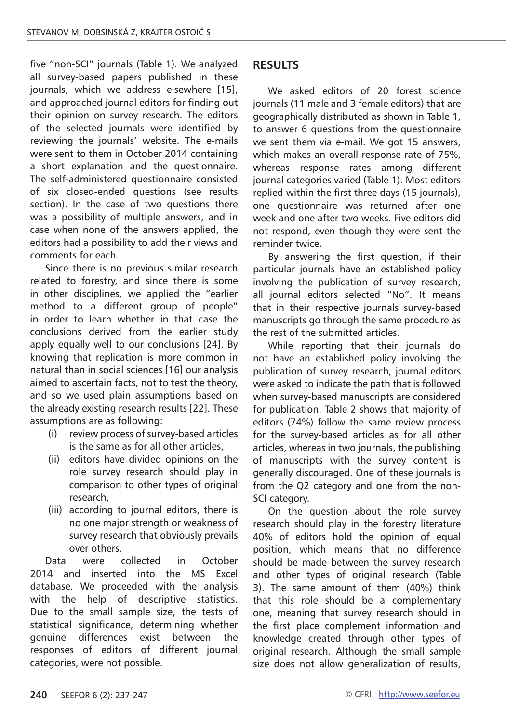five "non-SCI" journals (Table 1). We analyzed all survey-based papers published in these journals, which we address elsewhere [15], and approached journal editors for finding out their opinion on survey research. The editors of the selected journals were identified by reviewing the journals' website. The e-mails were sent to them in October 2014 containing a short explanation and the questionnaire. The self-administered questionnaire consisted of six closed-ended questions (see results section). In the case of two questions there was a possibility of multiple answers, and in case when none of the answers applied, the editors had a possibility to add their views and comments for each.

Since there is no previous similar research related to forestry, and since there is some in other disciplines, we applied the "earlier method to a different group of people" in order to learn whether in that case the conclusions derived from the earlier study apply equally well to our conclusions [24]. By knowing that replication is more common in natural than in social sciences [16] our analysis aimed to ascertain facts, not to test the theory, and so we used plain assumptions based on the already existing research results [22]. These assumptions are as following:

- (i) review process of survey-based articles is the same as for all other articles,
- (ii) editors have divided opinions on the role survey research should play in comparison to other types of original research,
- (iii) according to journal editors, there is no one major strength or weakness of survey research that obviously prevails over others.

Data were collected in October 2014 and inserted into the MS Excel database. We proceeded with the analysis with the help of descriptive statistics. Due to the small sample size, the tests of statistical significance, determining whether genuine differences exist between the responses of editors of different journal categories, were not possible.

### **RESULTS**

We asked editors of 20 forest science journals (11 male and 3 female editors) that are geographically distributed as shown in Table 1, to answer 6 questions from the questionnaire we sent them via e-mail. We got 15 answers, which makes an overall response rate of 75%, whereas response rates among different journal categories varied (Table 1). Most editors replied within the first three days (15 journals), one questionnaire was returned after one week and one after two weeks. Five editors did not respond, even though they were sent the reminder twice.

By answering the first question, if their particular journals have an established policy involving the publication of survey research, all journal editors selected "No". It means that in their respective journals survey-based manuscripts go through the same procedure as the rest of the submitted articles.

While reporting that their journals do not have an established policy involving the publication of survey research, journal editors were asked to indicate the path that is followed when survey-based manuscripts are considered for publication. Table 2 shows that majority of editors (74%) follow the same review process for the survey-based articles as for all other articles, whereas in two journals, the publishing of manuscripts with the survey content is generally discouraged. One of these journals is from the Q2 category and one from the non-SCI category.

On the question about the role survey research should play in the forestry literature 40% of editors hold the opinion of equal position, which means that no difference should be made between the survey research and other types of original research (Table 3). The same amount of them (40%) think that this role should be a complementary one, meaning that survey research should in the first place complement information and knowledge created through other types of original research. Although the small sample size does not allow generalization of results,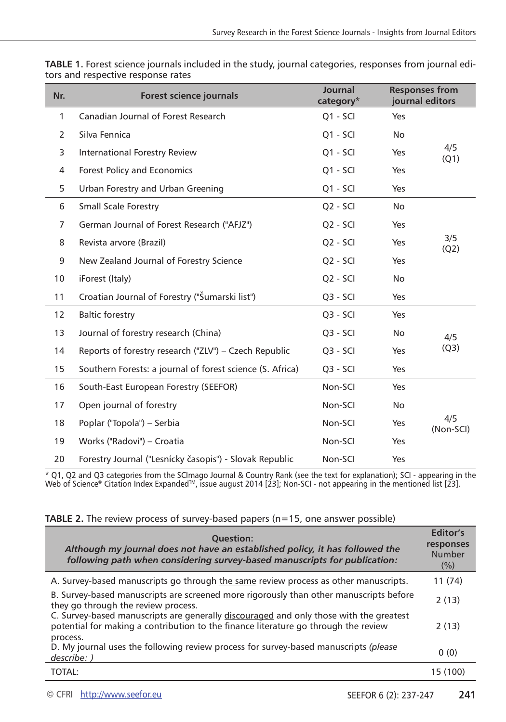| Nr.             | Forest science journals                                   | Journal<br>category* |            | <b>Responses from</b><br>journal editors |
|-----------------|-----------------------------------------------------------|----------------------|------------|------------------------------------------|
| $\mathbf{1}$    | Canadian Journal of Forest Research                       | $Q1 - SCI$           | Yes        |                                          |
| $\overline{2}$  | Silva Fennica                                             | $Q1 - SCI$           | <b>No</b>  |                                          |
| 3               | International Forestry Review                             | $Q1 - SCI$           | Yes        | 4/5<br>(Q1)                              |
| 4               | <b>Forest Policy and Economics</b>                        | $Q1 - SCI$           | Yes        |                                          |
| 5               | Urban Forestry and Urban Greening                         | $Q1 - SCI$           | Yes        |                                          |
| 6               | Small Scale Forestry                                      | $Q2 - SCI$           | No         |                                          |
| 7               | German Journal of Forest Research ("AFJZ")                | $Q2 - SCI$           | Yes        |                                          |
| 8               | Revista arvore (Brazil)                                   | $Q2 - SCI$           | Yes        | 3/5<br>(Q2)                              |
| 9               | New Zealand Journal of Forestry Science                   | Q <sub>2</sub> - SCI | Yes        |                                          |
| 10 <sup>°</sup> | iForest (Italy)                                           | $Q2 - SCI$           | No         |                                          |
| 11              | Croatian Journal of Forestry ("Šumarski list")            | $Q3 - SCI$           | Yes        |                                          |
| 12              | <b>Baltic forestry</b>                                    | $Q3 - SCI$           | Yes        |                                          |
| 13              | Journal of forestry research (China)                      | $Q3 - SCI$           | <b>No</b>  | 4/5                                      |
| 14              | Reports of forestry research ("ZLV") - Czech Republic     | $Q3 - SCI$           | Yes        | (Q3)                                     |
| 15              | Southern Forests: a journal of forest science (S. Africa) | $Q3 - SCI$           | Yes        |                                          |
| 16              | South-East European Forestry (SEEFOR)                     | Non-SCI              | Yes        |                                          |
| 17              | Open journal of forestry                                  | Non-SCI              | No         |                                          |
| 18              | Poplar ("Topola") – Serbia                                | Non-SCI              | <b>Yes</b> | 4/5<br>(Non-SCI)                         |
| 19              | Works ("Radovi") – Croatia                                | Non-SCI              | Yes        |                                          |
| 20              | Forestry Journal ("Lesnícky časopis") - Slovak Republic   | Non-SCI              | Yes        |                                          |

**TABLE 1.** Forest science journals included in the study, journal categories, responses from journal editors and respective response rates

\* Q1, Q2 and Q3 categories from the SCImago Journal & Country Rank (see the text for explanation); SCI - appearing in the<br>Web of Science® Citation Index Expanded™, issue august 2014 [23]; Non-SCI - not appearing in the me

|  | TABLE 2. The review process of survey-based papers (n=15, one answer possible) |  |  |  |
|--|--------------------------------------------------------------------------------|--|--|--|
|  |                                                                                |  |  |  |

| <b>Ouestion:</b><br>Although my journal does not have an established policy, it has followed the<br>following path when considering survey-based manuscripts for publication: | Editor's<br>responses<br>Number<br>(%) |
|-------------------------------------------------------------------------------------------------------------------------------------------------------------------------------|----------------------------------------|
| A. Survey-based manuscripts go through the same review process as other manuscripts.                                                                                          | 11 (74)                                |
| B. Survey-based manuscripts are screened more rigorously than other manuscripts before<br>they go through the review process.                                                 | 2(13)                                  |
| C. Survey-based manuscripts are generally discouraged and only those with the greatest<br>potential for making a contribution to the finance literature go through the review | 2(13)                                  |
| process.<br>D. My journal uses the <b>following</b> review process for survey-based manuscripts (please<br>describe: )                                                        | 0(0)                                   |
| TOTAL:                                                                                                                                                                        | 15 (100)                               |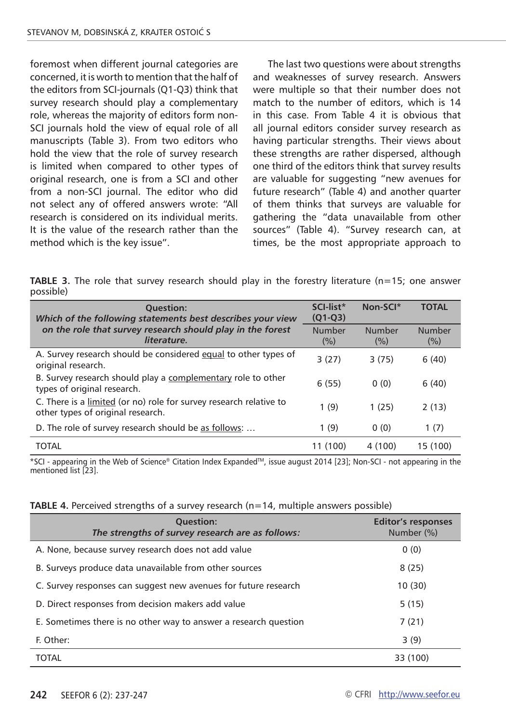foremost when different journal categories are concerned, it is worth to mention that the half of the editors from SCI-journals (Q1-Q3) think that survey research should play a complementary role, whereas the majority of editors form non-SCI journals hold the view of equal role of all manuscripts (Table 3). From two editors who hold the view that the role of survey research is limited when compared to other types of original research, one is from a SCI and other from a non-SCI journal. The editor who did not select any of offered answers wrote: "All research is considered on its individual merits. It is the value of the research rather than the method which is the key issue".

The last two questions were about strengths and weaknesses of survey research. Answers were multiple so that their number does not match to the number of editors, which is 14 in this case. From Table 4 it is obvious that all journal editors consider survey research as having particular strengths. Their views about these strengths are rather dispersed, although one third of the editors think that survey results are valuable for suggesting "new avenues for future research" (Table 4) and another quarter of them thinks that surveys are valuable for gathering the "data unavailable from other sources" (Table 4). "Survey research can, at times, be the most appropriate approach to

**TABLE 3.** The role that survey research should play in the forestry literature (n=15; one answer possible)

| <b>Ouestion:</b><br>Which of the following statements best describes your view                          | SCI-list*<br>$(Q1-Q3)$ | Non-SCI*      | <b>TOTAL</b>  |
|---------------------------------------------------------------------------------------------------------|------------------------|---------------|---------------|
| on the role that survey research should play in the forest<br>literature.                               | Number<br>$(\%)$       | Number<br>(%) | Number<br>(%) |
| A. Survey research should be considered equal to other types of<br>original research.                   | 3(27)                  | 3(75)         | 6(40)         |
| B. Survey research should play a complementary role to other<br>types of original research.             | 6(55)                  | 0(0)          | 6(40)         |
| C. There is a limited (or no) role for survey research relative to<br>other types of original research. | 1(9)                   | 1(25)         | 2(13)         |
| D. The role of survey research should be as follows:                                                    | 1(9)                   | 0(0)          | 1(7)          |
| <b>TOTAL</b>                                                                                            | (100)                  | 4 (100)       | 15 (100)      |

\*SCI - appearing in the Web of Science® Citation Index ExpandedTM, issue august 2014 [23]; Non-SCI - not appearing in the mentioned list [23].

| TABLE 4. Perceived strengths of a survey research (n=14, multiple answers possible) |  |  |
|-------------------------------------------------------------------------------------|--|--|
|-------------------------------------------------------------------------------------|--|--|

| <b>Ouestion:</b><br>The strengths of survey research are as follows: | <b>Editor's responses</b><br>Number (%) |
|----------------------------------------------------------------------|-----------------------------------------|
| A. None, because survey research does not add value                  | 0(0)                                    |
| B. Surveys produce data unavailable from other sources               | 8(25)                                   |
| C. Survey responses can suggest new avenues for future research      | 10(30)                                  |
| D. Direct responses from decision makers add value                   | 5(15)                                   |
| E. Sometimes there is no other way to answer a research question     | 7(21)                                   |
| F. Other:                                                            | 3(9)                                    |
| <b>TOTAL</b>                                                         | 33 (100)                                |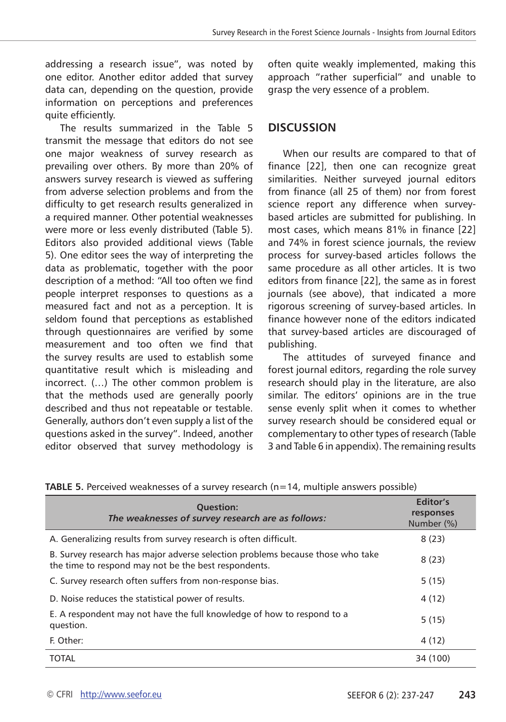addressing a research issue", was noted by one editor. Another editor added that survey data can, depending on the question, provide information on perceptions and preferences quite efficiently.

The results summarized in the Table 5 transmit the message that editors do not see one major weakness of survey research as prevailing over others. By more than 20% of answers survey research is viewed as suffering from adverse selection problems and from the difficulty to get research results generalized in a required manner. Other potential weaknesses were more or less evenly distributed (Table 5). Editors also provided additional views (Table 5). One editor sees the way of interpreting the data as problematic, together with the poor description of a method: "All too often we find people interpret responses to questions as a measured fact and not as a perception. It is seldom found that perceptions as established through questionnaires are verified by some measurement and too often we find that the survey results are used to establish some quantitative result which is misleading and incorrect. (…) The other common problem is that the methods used are generally poorly described and thus not repeatable or testable. Generally, authors don't even supply a list of the questions asked in the survey". Indeed, another editor observed that survey methodology is

often quite weakly implemented, making this approach "rather superficial" and unable to grasp the very essence of a problem.

#### **DISCUSSION**

When our results are compared to that of finance [22], then one can recognize great similarities. Neither surveyed journal editors from finance (all 25 of them) nor from forest science report any difference when surveybased articles are submitted for publishing. In most cases, which means 81% in finance [22] and 74% in forest science journals, the review process for survey-based articles follows the same procedure as all other articles. It is two editors from finance [22], the same as in forest journals (see above), that indicated a more rigorous screening of survey-based articles. In finance however none of the editors indicated that survey-based articles are discouraged of publishing.

The attitudes of surveyed finance and forest journal editors, regarding the role survey research should play in the literature, are also similar. The editors' opinions are in the true sense evenly split when it comes to whether survey research should be considered equal or complementary to other types of research (Table 3 and Table 6 in appendix). The remaining results

|  | TABLE 5. Perceived weaknesses of a survey research (n=14, multiple answers possible) |  |  |  |  |  |
|--|--------------------------------------------------------------------------------------|--|--|--|--|--|
|--|--------------------------------------------------------------------------------------|--|--|--|--|--|

| <b>Ouestion:</b><br>The weaknesses of survey research are as follows:                                                                  | Editor's<br>responses<br>Number (%) |
|----------------------------------------------------------------------------------------------------------------------------------------|-------------------------------------|
| A. Generalizing results from survey research is often difficult.                                                                       | 8(23)                               |
| B. Survey research has major adverse selection problems because those who take<br>the time to respond may not be the best respondents. | 8(23)                               |
| C. Survey research often suffers from non-response bias.                                                                               | 5(15)                               |
| D. Noise reduces the statistical power of results.                                                                                     | 4 (12)                              |
| E. A respondent may not have the full knowledge of how to respond to a<br>question.                                                    | 5(15)                               |
| F. Other:                                                                                                                              | 4 (12)                              |
| <b>TOTAL</b>                                                                                                                           | 34 (100)                            |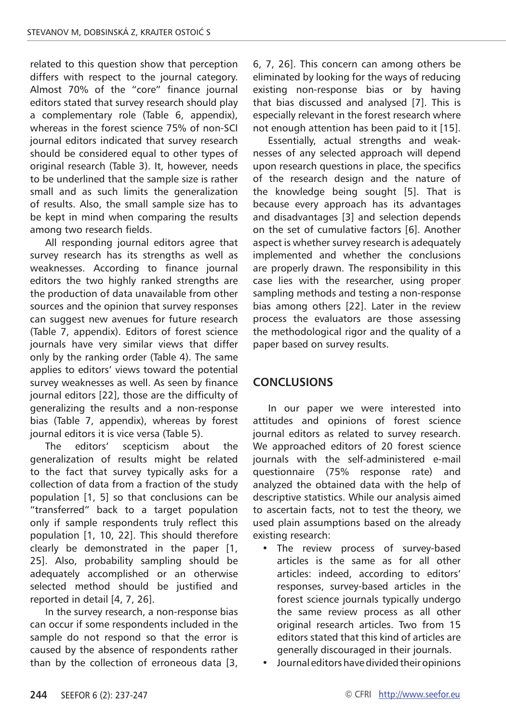related to this question show that perception differs with respect to the journal category. Almost 70% of the "core" finance journal editors stated that survey research should play a complementary role (Table 6, appendix), whereas in the forest science 75% of non-SCI journal editors indicated that survey research should be considered equal to other types of original research (Table 3). It, however, needs to be underlined that the sample size is rather small and as such limits the generalization of results. Also, the small sample size has to be kept in mind when comparing the results among two research fields.

All responding journal editors agree that survey research has its strengths as well as weaknesses. According to finance journal editors the two highly ranked strengths are the production of data unavailable from other sources and the opinion that survey responses can suggest new avenues for future research (Table 7, appendix). Editors of forest science journals have very similar views that differ only by the ranking order (Table 4). The same applies to editors' views toward the potential survey weaknesses as well. As seen by finance journal editors [22], those are the difficulty of generalizing the results and a non-response bias (Table 7, appendix), whereas by forest journal editors it is vice versa (Table 5).

The editors' scepticism about the generalization of results might be related to the fact that survey typically asks for a collection of data from a fraction of the study population [1, 5] so that conclusions can be "transferred" back to a target population only if sample respondents truly reflect this population [1, 10, 22]. This should therefore clearly be demonstrated in the paper [1, 25]. Also, probability sampling should be adequately accomplished or an otherwise selected method should be justified and reported in detail [4, 7, 26].

In the survey research, a non-response bias can occur if some respondents included in the sample do not respond so that the error is caused by the absence of respondents rather than by the collection of erroneous data [3,

6, 7, 26]. This concern can among others be eliminated by looking for the ways of reducing existing non-response bias or by having that bias discussed and analysed [7]. This is especially relevant in the forest research where not enough attention has been paid to it [15].

Essentially, actual strengths and weaknesses of any selected approach will depend upon research questions in place, the specifics of the research design and the nature of the knowledge being sought [5]. That is because every approach has its advantages and disadvantages [3] and selection depends on the set of cumulative factors [6]. Another aspect is whether survey research is adequately implemented and whether the conclusions are properly drawn. The responsibility in this case lies with the researcher, using proper sampling methods and testing a non-response bias among others [22]. Later in the review process the evaluators are those assessing the methodological rigor and the quality of a paper based on survey results.

## **CONCLUSIONS**

In our paper we were interested into attitudes and opinions of forest science journal editors as related to survey research. We approached editors of 20 forest science journals with the self-administered e-mail questionnaire (75% response rate) and analyzed the obtained data with the help of descriptive statistics. While our analysis aimed to ascertain facts, not to test the theory, we used plain assumptions based on the already existing research:

- The review process of survey-based articles is the same as for all other articles: indeed, according to editors' responses, survey-based articles in the forest science journals typically undergo the same review process as all other original research articles. Two from 15 editors stated that this kind of articles are generally discouraged in their journals.
- Journal editors have divided their opinions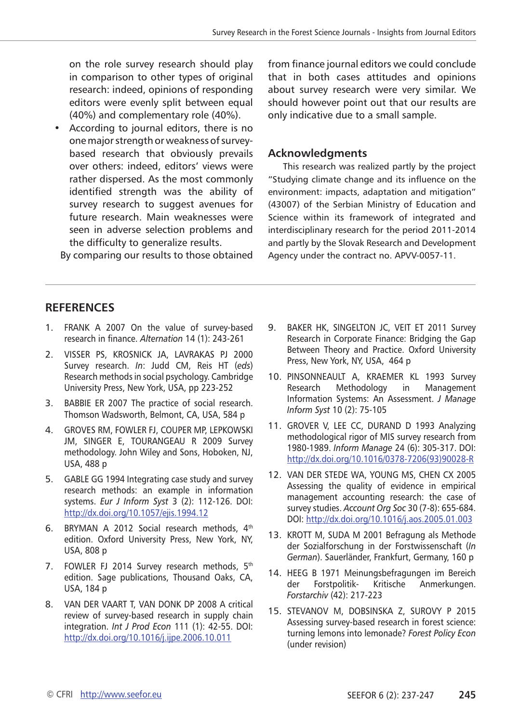on the role survey research should play in comparison to other types of original research: indeed, opinions of responding editors were evenly split between equal (40%) and complementary role (40%).

• According to journal editors, there is no one major strength or weakness of surveybased research that obviously prevails over others: indeed, editors' views were rather dispersed. As the most commonly identified strength was the ability of survey research to suggest avenues for future research. Main weaknesses were seen in adverse selection problems and the difficulty to generalize results.

By comparing our results to those obtained

from finance journal editors we could conclude that in both cases attitudes and opinions about survey research were very similar. We should however point out that our results are only indicative due to a small sample.

#### **Acknowledgments**

This research was realized partly by the project "Studying climate change and its influence on the environment: impacts, adaptation and mitigation" (43007) of the Serbian Ministry of Education and Science within its framework of integrated and interdisciplinary research for the period 2011-2014 and partly by the Slovak Research and Development Agency under the contract no. APVV-0057-11.

#### **RefereNces**

- 1. Frank A 2007 On the value of survey-based research in finance. *Alternation* 14 (1): 243-261
- 2. Visser PS, Krosnick JA, Lavrakas PJ 2000 Survey research. *In*: Judd CM, Reis HT (*eds*) Research methods in social psychology. Cambridge University Press, New York, USA, pp 223-252
- 3. Babbie ER 2007 The practice of social research. Thomson Wadsworth, Belmont, CA, USA, 584 p
- 4. Groves RM, Fowler FJ, Couper MP, Lepkowski JM, SINGER E, TOURANGEAU R 2009 Survey methodology. John Wiley and Sons, Hoboken, NJ, USA, 488 p
- 5. GABLE GG 1994 Integrating case study and survey research methods: an example in information systems. *Eur J Inform Syst* 3 (2): 112-126. DOI: <http://dx.doi.org/10.1057/ejis.1994.12>
- 6. BRYMAN A 2012 Social research methods, 4<sup>th</sup> edition. Oxford University Press, New York, NY, USA, 808 p
- 7. FOWLER FJ 2014 Survey research methods, 5<sup>th</sup> edition. Sage publications, Thousand Oaks, CA, USA, 184 p
- 8. Van der Vaart T, van Donk DP 2008 A critical review of survey-based research in supply chain integration. *Int J Prod Econ* 111 (1): 42-55. DOI: <http://dx.doi.org/10.1016/j.ijpe.2006.10.011>
- 9. Baker HK, Singelton JC, Veit ET 2011 Survey Research in Corporate Finance: Bridging the Gap Between Theory and Practice. Oxford University Press, New York, NY, USA, 464 p
- 10. Pinsonneault A, Kraemer KL 1993 Survey Research Methodology in Management Information Systems: An Assessment. *J Manage Inform Syst* 10 (2): 75-105
- 11. GROVER V, LEE CC, DURAND D 1993 Analyzing methodological rigor of MIS survey research from 1980-1989. *Inform Manage* 24 (6): 305-317. DOI: [http://dx.doi.org/10.1016/0378-7206\(93\)90028-R](http://dx.doi.org/10.1016/0378-7206(93)90028-R)
- 12. Van der Stede WA, Young MS, Chen CX 2005 Assessing the quality of evidence in empirical management accounting research: the case of survey studies. *Account Org Soc* 30 (7-8): 655-684. DOI:<http://dx.doi.org/10.1016/j.aos.2005.01.003>
- 13. KROTT M, SUDA M 2001 Befragung als Methode der Sozialforschung in der Forstwissenschaft (*In German*). Sauerländer, Frankfurt, Germany, 160 p
- 14. HEEG B 1971 Meinungsbefragungen im Bereich der Forstpolitik- Kritische Anmerkungen. *Forstarchiv* (42): 217-223
- 15. STEVANOV M, DOBSINSKA Z, SUROVY P 2015 Assessing survey-based research in forest science: turning lemons into lemonade? *Forest Policy Econ* (under revision)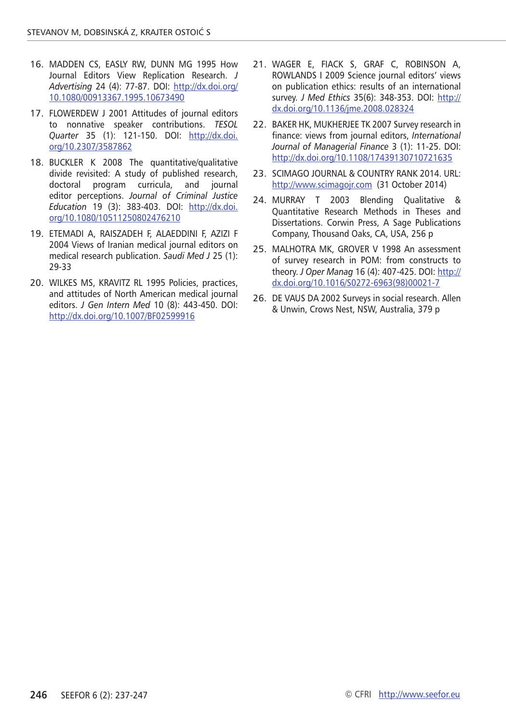- 16. Madden CS, Easly RW, Dunn MG 1995 How Journal Editors View Replication Research. *J Advertising* 24 (4): 77-87. DOI: [http://dx.doi.org/](http://dx.doi.org/10.1080/00913367.1995.10673490) [10.1080/00913367.1995.10673490](http://dx.doi.org/10.1080/00913367.1995.10673490)
- 17. FLOWERDEW J 2001 Attitudes of journal editors to nonnative speaker contributions. *TESOL Quarter* 35 (1): 121-150. DOI: [http://dx.doi.](http://dx.doi.org/10.2307/3587862) [org/10.2307/3587862](http://dx.doi.org/10.2307/3587862)
- 18. Buckler K 2008 The quantitative/qualitative divide revisited: A study of published research, doctoral program curricula, and journal editor perceptions. *Journal of Criminal Justice Education* 19 (3): 383-403. DOI: [http://dx.doi.](http://dx.doi.org/10.1080/10511250802476210) [org/10.1080/10511250802476210](http://dx.doi.org/10.1080/10511250802476210)
- 19. Etemadi A, Raiszadeh F, Alaeddini F, Azizi F 2004 Views of Iranian medical journal editors on medical research publication. *Saudi Med J* 25 (1): 29-33
- 20. Wilkes MS, Kravitz RL 1995 Policies, practices, and attitudes of North American medical journal editors. *J Gen Intern Med* 10 (8): 443-450. DOI: <http://dx.doi.org/10.1007/BF02599916>
- 21. Wager E, Fiack S, Graf C, Robinson A, Rowlands I 2009 Science journal editors' views on publication ethics: results of an international survey. *J Med Ethics* 35(6): 348-353. DOI: [http://](http://dx.doi.org/10.1136/jme.2008.028324) [dx.doi.org/10.1136/jme.2008.028324](http://dx.doi.org/10.1136/jme.2008.028324)
- 22. BAKER HK, MUKHERJEE TK 2007 Survey research in finance: views from journal editors, *International Journal of Managerial Finance* 3 (1): 11-25. DOI: <http://dx.doi.org/10.1108/17439130710721635>
- 23. SCIMAGO JOURNAL & COUNTRY RANK 2014. URL: <http://www.scimagojr.com> (31 October 2014)
- 24. MURRAY T 2003 Blending Qualitative & Quantitative Research Methods in Theses and Dissertations. Corwin Press, A Sage Publications Company, Thousand Oaks, CA, USA, 256 p
- 25. MALHOTRA MK, GROVER V 1998 An assessment of survey research in POM: from constructs to theory. *J Oper Manag* 16 (4): 407-425. DOI: [http://](http://dx.doi.org/10.1016/S0272-6963(98)00021-7) [dx.doi.org/10.1016/S0272-6963\(98\)00021-7](http://dx.doi.org/10.1016/S0272-6963(98)00021-7)
- 26. De Vaus DA 2002 Surveys in social research. Allen & Unwin, Crows Nest, NSW, Australia, 379 p